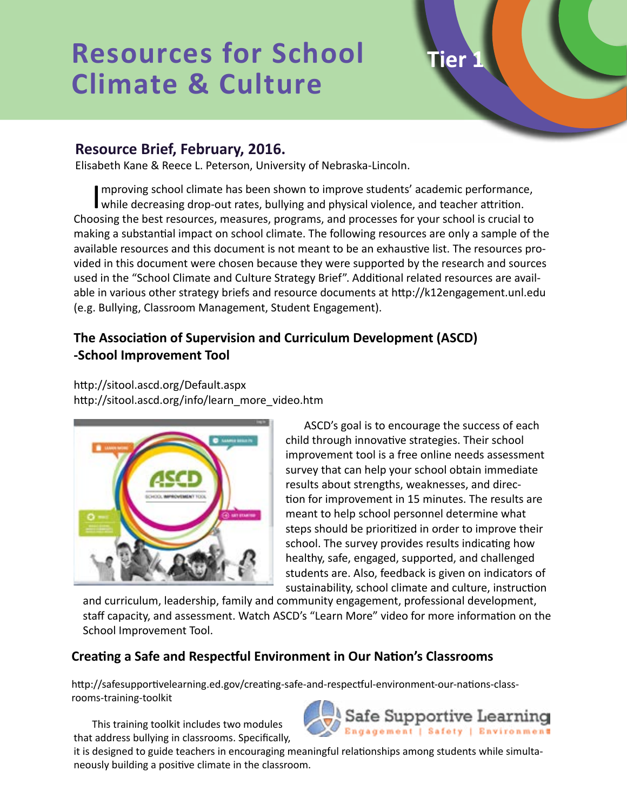# **Resources for School Climate & Culture**

## **Resource Brief, February, 2016.**

Elisabeth Kane & Reece L. Peterson, University of Nebraska-Lincoln.

Improving school climate has been shown to improve students' academic performance<br>while decreasing drop-out rates, bullying and physical violence, and teacher attrition. mproving school climate has been shown to improve students' academic performance, Choosing the best resources, measures, programs, and processes for your school is crucial to making a substantial impact on school climate. The following resources are only a sample of the available resources and this document is not meant to be an exhaustive list. The resources provided in this document were chosen because they were supported by the research and sources used in the "School Climate and Culture Strategy Brief". Additional related resources are available in various other strategy briefs and resource documents at http://k12engagement.unl.edu (e.g. Bullying, Classroom Management, Student Engagement).

## **The Association of Supervision and Curriculum Development (ASCD) -School Improvement Tool**

http://sitool.ascd.org/Default.aspx http://sitool.ascd.org/info/learn\_more\_video.htm



ASCD's goal is to encourage the success of each child through innovative strategies. Their school improvement tool is a free online needs assessment survey that can help your school obtain immediate results about strengths, weaknesses, and direction for improvement in 15 minutes. The results are meant to help school personnel determine what steps should be prioritized in order to improve their school. The survey provides results indicating how healthy, safe, engaged, supported, and challenged students are. Also, feedback is given on indicators of sustainability, school climate and culture, instruction

**Tier 1**

and curriculum, leadership, family and community engagement, professional development, staff capacity, and assessment. Watch ASCD's "Learn More" video for more information on the School Improvement Tool.

### **Creating a Safe and Respectful Environment in Our Nation's Classrooms**

http://safesupportivelearning.ed.gov/creating-safe-and-respectful-environment-our-nations-classrooms-training-toolkit

This training toolkit includes two modules that address bullying in classrooms. Specifically,



it is designed to guide teachers in encouraging meaningful relationships among students while simultaneously building a positive climate in the classroom.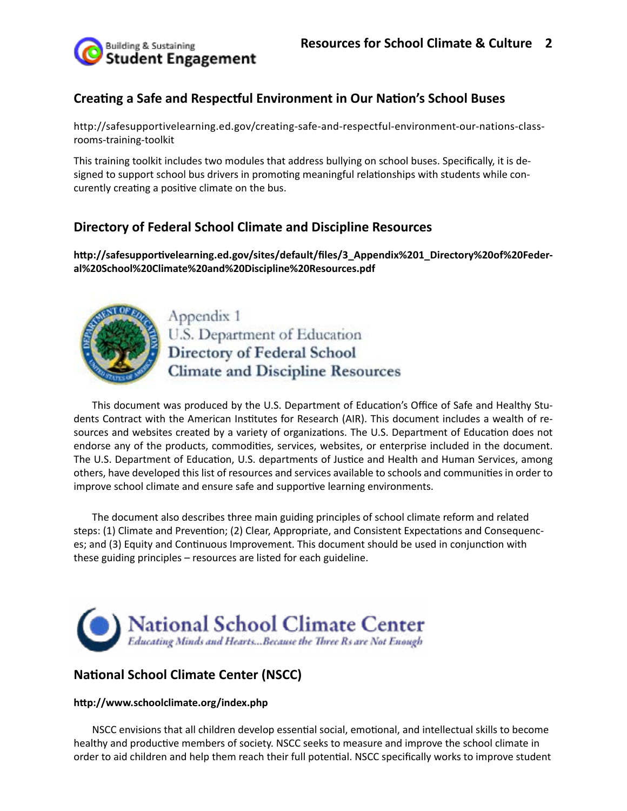

### **Creating a Safe and Respectful Environment in Our Nation's School Buses**

http://safesupportivelearning.ed.gov/creating-safe-and-respectful-environment-our-nations-classrooms-training-toolkit

This training toolkit includes two modules that address bullying on school buses. Specifically, it is designed to support school bus drivers in promoting meaningful relationships with students while concurently creating a positive climate on the bus.

### **Directory of Federal School Climate and Discipline Resources**

**http://safesupportivelearning.ed.gov/sites/default/files/3\_Appendix%201\_Directory%20of%20Federal%20School%20Climate%20and%20Discipline%20Resources.pdf**



Appendix 1 U.S. Department of Education **Directory of Federal School Climate and Discipline Resources** 

This document was produced by the U.S. Department of Education's Office of Safe and Healthy Students Contract with the American Institutes for Research (AIR). This document includes a wealth of resources and websites created by a variety of organizations. The U.S. Department of Education does not endorse any of the products, commodities, services, websites, or enterprise included in the document. The U.S. Department of Education, U.S. departments of Justice and Health and Human Services, among others, have developed this list of resources and services available to schools and communities in order to improve school climate and ensure safe and supportive learning environments.

The document also describes three main guiding principles of school climate reform and related steps: (1) Climate and Prevention; (2) Clear, Appropriate, and Consistent Expectations and Consequences; and (3) Equity and Continuous Improvement. This document should be used in conjunction with these guiding principles – resources are listed for each guideline.



## **National School Climate Center (NSCC)**

#### **http://www.schoolclimate.org/index.php**

NSCC envisions that all children develop essential social, emotional, and intellectual skills to become healthy and productive members of society. NSCC seeks to measure and improve the school climate in order to aid children and help them reach their full potential. NSCC specifically works to improve student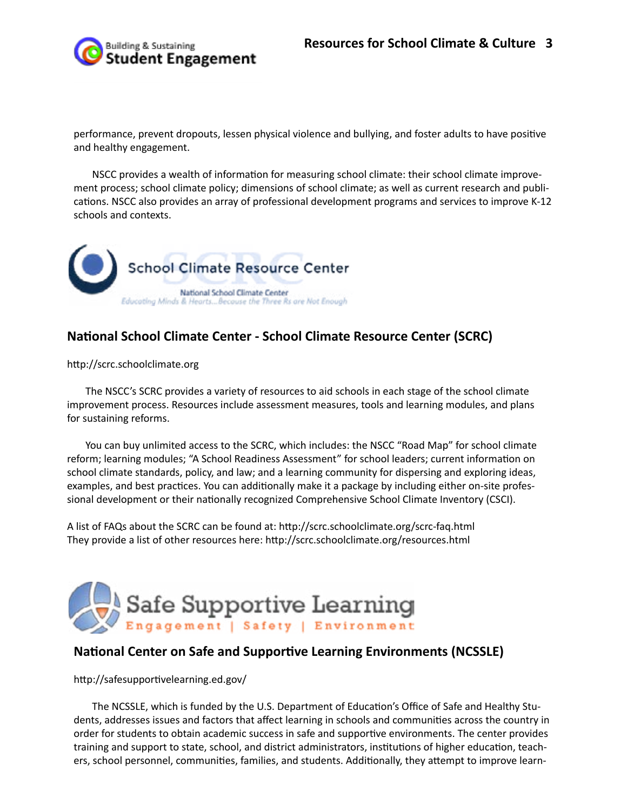

performance, prevent dropouts, lessen physical violence and bullying, and foster adults to have positive and healthy engagement.

NSCC provides a wealth of information for measuring school climate: their school climate improvement process; school climate policy; dimensions of school climate; as well as current research and publications. NSCC also provides an array of professional development programs and services to improve K-12 schools and contexts.



### **National School Climate Center - School Climate Resource Center (SCRC)**

http://scrc.schoolclimate.org

The NSCC's SCRC provides a variety of resources to aid schools in each stage of the school climate improvement process. Resources include assessment measures, tools and learning modules, and plans for sustaining reforms.

You can buy unlimited access to the SCRC, which includes: the NSCC "Road Map" for school climate reform; learning modules; "A School Readiness Assessment" for school leaders; current information on school climate standards, policy, and law; and a learning community for dispersing and exploring ideas, examples, and best practices. You can additionally make it a package by including either on-site professional development or their nationally recognized Comprehensive School Climate Inventory (CSCI).

A list of FAQs about the SCRC can be found at: http://scrc.schoolclimate.org/scrc-faq.html They provide a list of other resources here: http://scrc.schoolclimate.org/resources.html



#### **National Center on Safe and Supportive Learning Environments (NCSSLE)**

http://safesupportivelearning.ed.gov/

The NCSSLE, which is funded by the U.S. Department of Education's Office of Safe and Healthy Students, addresses issues and factors that affect learning in schools and communities across the country in order for students to obtain academic success in safe and supportive environments. The center provides training and support to state, school, and district administrators, institutions of higher education, teachers, school personnel, communities, families, and students. Additionally, they attempt to improve learn-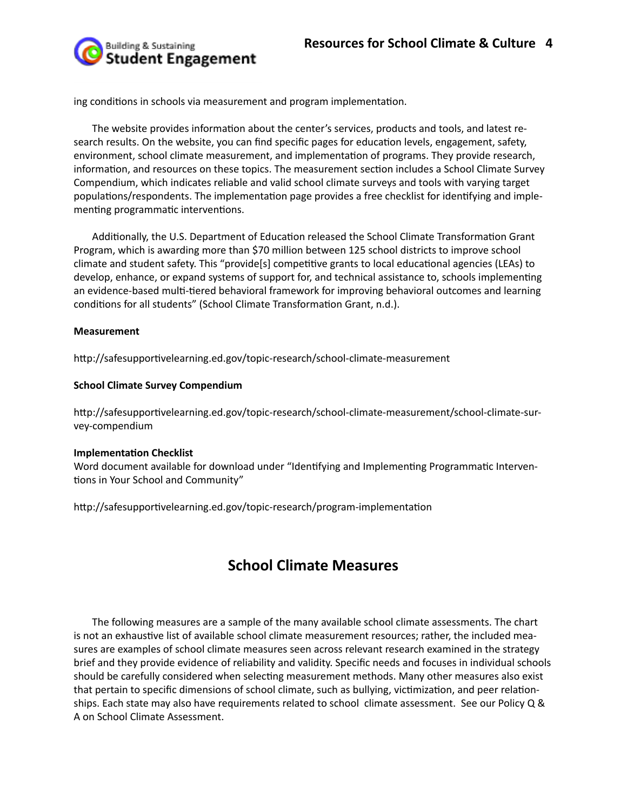Building & Sustaining **Student Engagement** 

ing conditions in schools via measurement and program implementation.

The website provides information about the center's services, products and tools, and latest research results. On the website, you can find specific pages for education levels, engagement, safety, environment, school climate measurement, and implementation of programs. They provide research, information, and resources on these topics. The measurement section includes a School Climate Survey Compendium, which indicates reliable and valid school climate surveys and tools with varying target populations/respondents. The implementation page provides a free checklist for identifying and implementing programmatic interventions.

Additionally, the U.S. Department of Education released the School Climate Transformation Grant Program, which is awarding more than \$70 million between 125 school districts to improve school climate and student safety. This "provide[s] competitive grants to local educational agencies (LEAs) to develop, enhance, or expand systems of support for, and technical assistance to, schools implementing an evidence-based multi-tiered behavioral framework for improving behavioral outcomes and learning conditions for all students" (School Climate Transformation Grant, n.d.).

#### **Measurement**

http://safesupportivelearning.ed.gov/topic-research/school-climate-measurement

#### **School Climate Survey Compendium**

http://safesupportivelearning.ed.gov/topic-research/school-climate-measurement/school-climate-survey-compendium

#### **Implementation Checklist**

Word document available for download under "Identifying and Implementing Programmatic Interventions in Your School and Community"

http://safesupportivelearning.ed.gov/topic-research/program-implementation

# **School Climate Measures**

The following measures are a sample of the many available school climate assessments. The chart is not an exhaustive list of available school climate measurement resources; rather, the included measures are examples of school climate measures seen across relevant research examined in the strategy brief and they provide evidence of reliability and validity. Specific needs and focuses in individual schools should be carefully considered when selecting measurement methods. Many other measures also exist that pertain to specific dimensions of school climate, such as bullying, victimization, and peer relationships. Each state may also have requirements related to school climate assessment. See our Policy Q & A on School Climate Assessment.